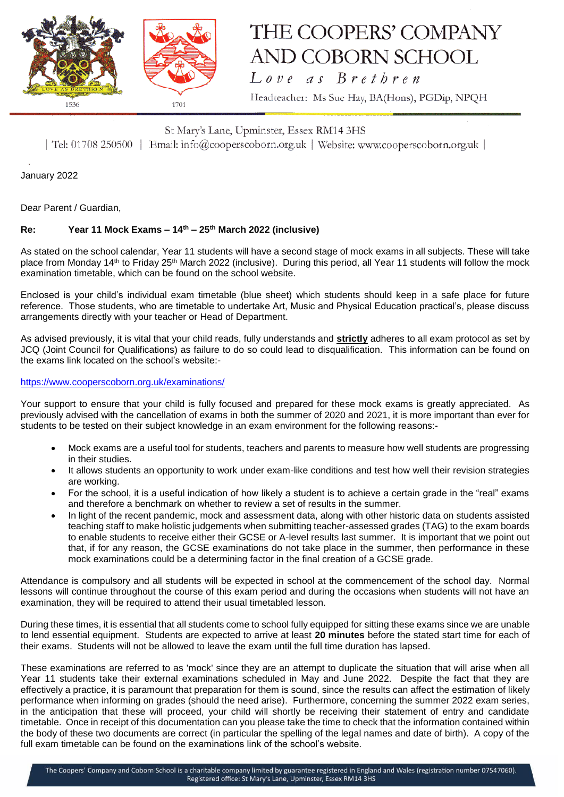

# THE COOPERS' COMPANY AND COBORN SCHOOL  $Love$  as  $B$ rethren

Headteacher: Ms Sue Hay, BA(Hons), PGDip, NPQH

## St Mary's Lane, Upminster, Essex RM14 3HS

| Tel: 01708 250500 | Email: info@cooperscoborn.org.uk | Website: www.cooperscoborn.org.uk |

January 2022

Dear Parent / Guardian,

### **Re: Year 11 Mock Exams – 14th – 25th March 2022 (inclusive)**

As stated on the school calendar, Year 11 students will have a second stage of mock exams in all subjects. These will take place from Monday 14<sup>th</sup> to Friday 25<sup>th</sup> March 2022 (inclusive). During this period, all Year 11 students will follow the mock examination timetable, which can be found on the school website.

Enclosed is your child's individual exam timetable (blue sheet) which students should keep in a safe place for future reference. Those students, who are timetable to undertake Art, Music and Physical Education practical's, please discuss arrangements directly with your teacher or Head of Department.

As advised previously, it is vital that your child reads, fully understands and **strictly** adheres to all exam protocol as set by JCQ (Joint Council for Qualifications) as failure to do so could lead to disqualification. This information can be found on the exams link located on the school's website:-

#### <https://www.cooperscoborn.org.uk/examinations/>

Your support to ensure that your child is fully focused and prepared for these mock exams is greatly appreciated. As previously advised with the cancellation of exams in both the summer of 2020 and 2021, it is more important than ever for students to be tested on their subject knowledge in an exam environment for the following reasons:-

- Mock exams are a useful tool for students, teachers and parents to measure how well students are progressing in their studies.
- It allows students an opportunity to work under exam-like conditions and test how well their revision strategies are working.
- For the school, it is a useful indication of how likely a student is to achieve a certain grade in the "real" exams and therefore a benchmark on whether to review a set of results in the summer.
- In light of the recent pandemic, mock and assessment data, along with other historic data on students assisted teaching staff to make holistic judgements when submitting teacher-assessed grades (TAG) to the exam boards to enable students to receive either their GCSE or A-level results last summer. It is important that we point out that, if for any reason, the GCSE examinations do not take place in the summer, then performance in these mock examinations could be a determining factor in the final creation of a GCSE grade.

Attendance is compulsory and all students will be expected in school at the commencement of the school day. Normal lessons will continue throughout the course of this exam period and during the occasions when students will not have an examination, they will be required to attend their usual timetabled lesson.

During these times, it is essential that all students come to school fully equipped for sitting these exams since we are unable to lend essential equipment. Students are expected to arrive at least **20 minutes** before the stated start time for each of their exams. Students will not be allowed to leave the exam until the full time duration has lapsed.

These examinations are referred to as 'mock' since they are an attempt to duplicate the situation that will arise when all Year 11 students take their external examinations scheduled in May and June 2022. Despite the fact that they are effectively a practice, it is paramount that preparation for them is sound, since the results can affect the estimation of likely performance when informing on grades (should the need arise). Furthermore, concerning the summer 2022 exam series, in the anticipation that these will proceed, your child will shortly be receiving their statement of entry and candidate timetable. Once in receipt of this documentation can you please take the time to check that the information contained within the body of these two documents are correct (in particular the spelling of the legal names and date of birth). A copy of the full exam timetable can be found on the examinations link of the school's website.